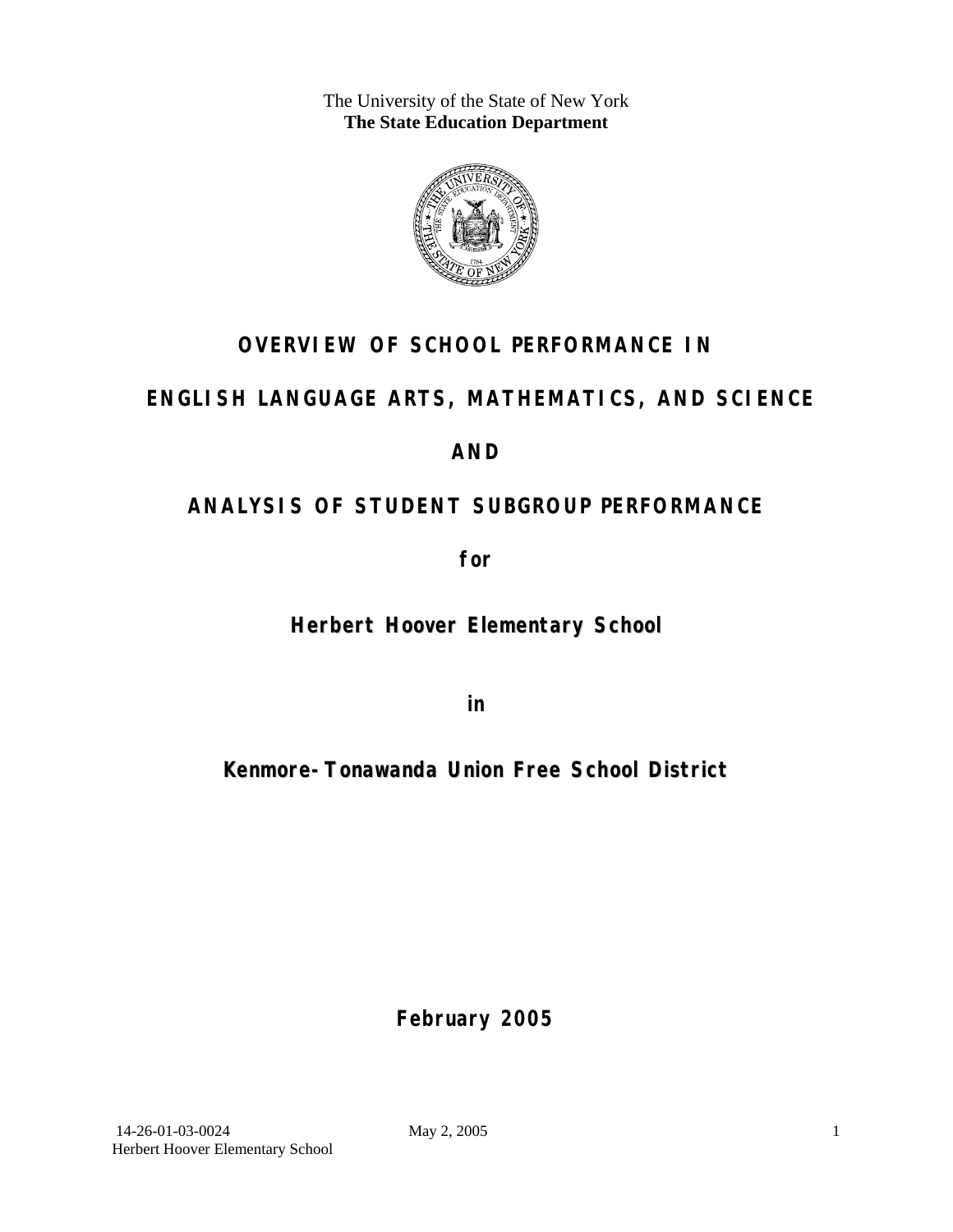The University of the State of New York **The State Education Department** 



### **OVERVIEW OF SCHOOL PERFORMANCE IN**

### **ENGLISH LANGUAGE ARTS, MATHEMATICS, AND SCIENCE**

### **AND**

### **ANALYSIS OF STUDENT SUBGROUP PERFORMANCE**

**for** 

### **Herbert Hoover Elementary School**

**in** 

### **Kenmore-Tonawanda Union Free School District**

**February 2005**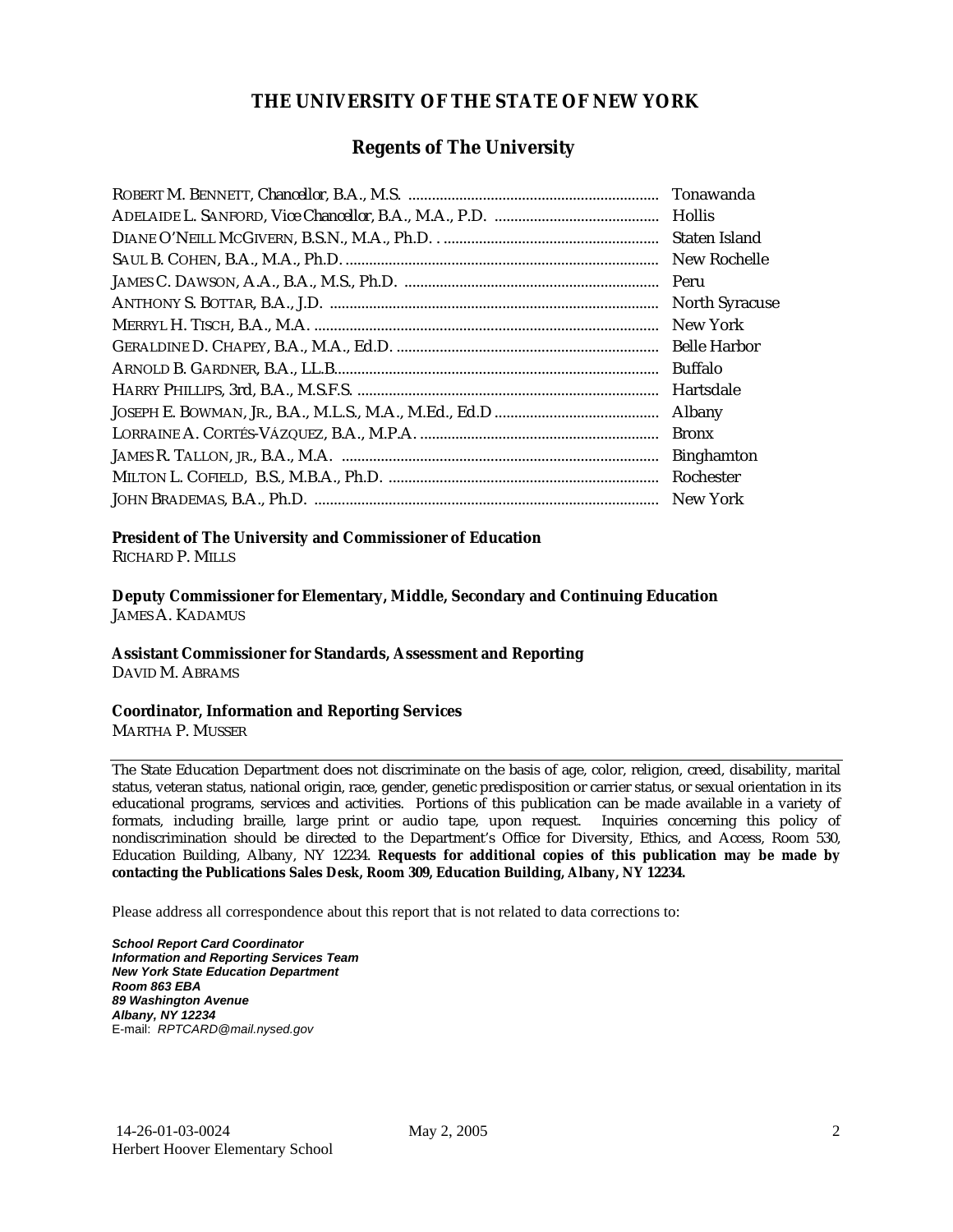#### **THE UNIVERSITY OF THE STATE OF NEW YORK**

#### **Regents of The University**

| Tonawanda             |
|-----------------------|
|                       |
| Staten Island         |
| New Rochelle          |
| Peru                  |
| <b>North Syracuse</b> |
| New York              |
| <b>Belle Harbor</b>   |
| <b>Buffalo</b>        |
| Hartsdale             |
| Albany                |
| <b>Bronx</b>          |
| <b>Binghamton</b>     |
| Rochester             |
| New York              |

#### **President of The University and Commissioner of Education**

RICHARD P. MILLS

**Deputy Commissioner for Elementary, Middle, Secondary and Continuing Education**  JAMES A. KADAMUS

#### **Assistant Commissioner for Standards, Assessment and Reporting**  DAVID M. ABRAMS

**Coordinator, Information and Reporting Services** 

MARTHA P. MUSSER

The State Education Department does not discriminate on the basis of age, color, religion, creed, disability, marital status, veteran status, national origin, race, gender, genetic predisposition or carrier status, or sexual orientation in its educational programs, services and activities. Portions of this publication can be made available in a variety of formats, including braille, large print or audio tape, upon request. Inquiries concerning this policy of nondiscrimination should be directed to the Department's Office for Diversity, Ethics, and Access, Room 530, Education Building, Albany, NY 12234. **Requests for additional copies of this publication may be made by contacting the Publications Sales Desk, Room 309, Education Building, Albany, NY 12234.** 

Please address all correspondence about this report that is not related to data corrections to:

*School Report Card Coordinator Information and Reporting Services Team New York State Education Department Room 863 EBA 89 Washington Avenue Albany, NY 12234*  E-mail: *RPTCARD@mail.nysed.gov*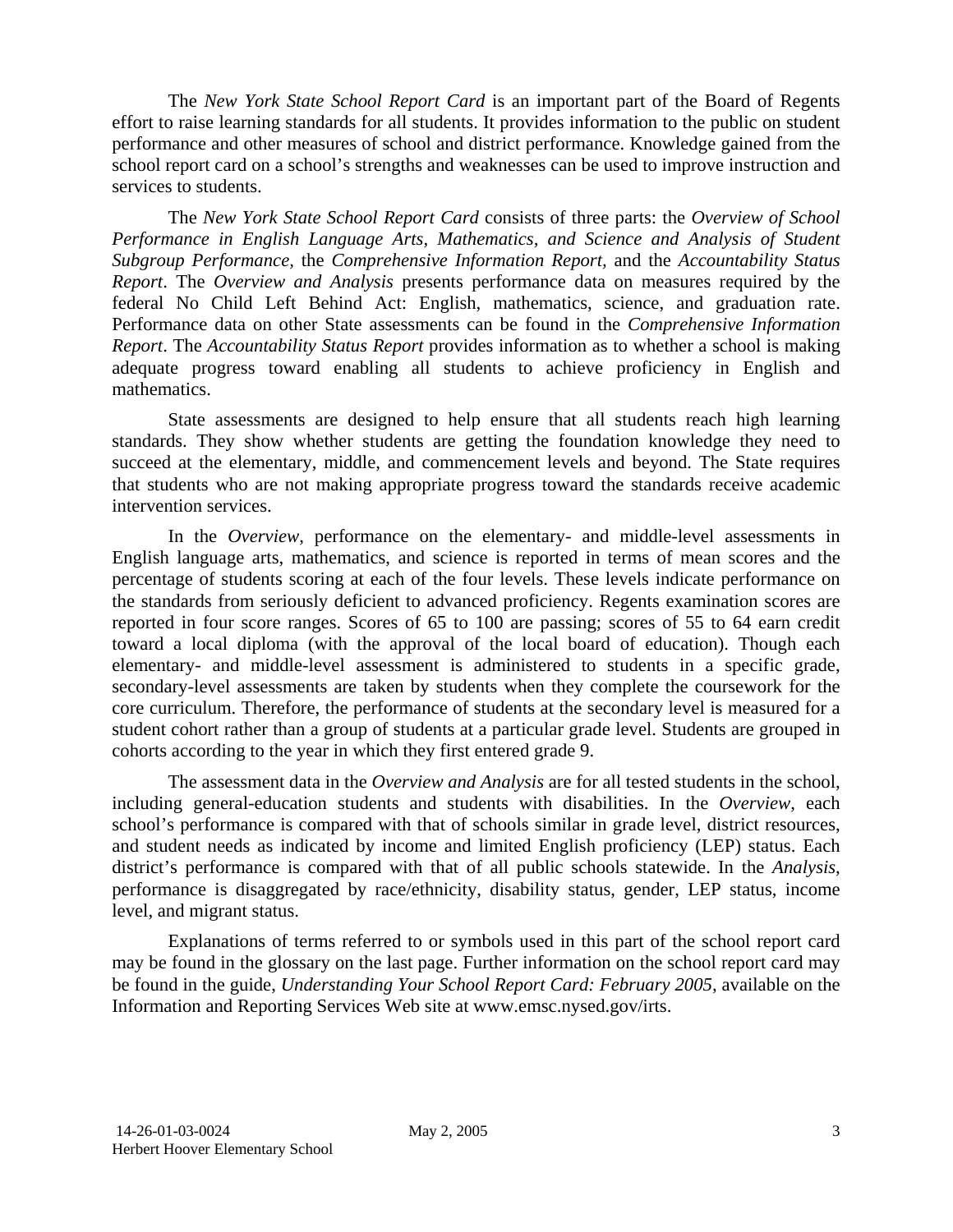The *New York State School Report Card* is an important part of the Board of Regents effort to raise learning standards for all students. It provides information to the public on student performance and other measures of school and district performance. Knowledge gained from the school report card on a school's strengths and weaknesses can be used to improve instruction and services to students.

The *New York State School Report Card* consists of three parts: the *Overview of School Performance in English Language Arts, Mathematics, and Science and Analysis of Student Subgroup Performance,* the *Comprehensive Information Report,* and the *Accountability Status Report*. The *Overview and Analysis* presents performance data on measures required by the federal No Child Left Behind Act: English, mathematics, science, and graduation rate. Performance data on other State assessments can be found in the *Comprehensive Information Report*. The *Accountability Status Report* provides information as to whether a school is making adequate progress toward enabling all students to achieve proficiency in English and mathematics.

State assessments are designed to help ensure that all students reach high learning standards. They show whether students are getting the foundation knowledge they need to succeed at the elementary, middle, and commencement levels and beyond. The State requires that students who are not making appropriate progress toward the standards receive academic intervention services.

In the *Overview*, performance on the elementary- and middle-level assessments in English language arts, mathematics, and science is reported in terms of mean scores and the percentage of students scoring at each of the four levels. These levels indicate performance on the standards from seriously deficient to advanced proficiency. Regents examination scores are reported in four score ranges. Scores of 65 to 100 are passing; scores of 55 to 64 earn credit toward a local diploma (with the approval of the local board of education). Though each elementary- and middle-level assessment is administered to students in a specific grade, secondary-level assessments are taken by students when they complete the coursework for the core curriculum. Therefore, the performance of students at the secondary level is measured for a student cohort rather than a group of students at a particular grade level. Students are grouped in cohorts according to the year in which they first entered grade 9.

The assessment data in the *Overview and Analysis* are for all tested students in the school, including general-education students and students with disabilities. In the *Overview*, each school's performance is compared with that of schools similar in grade level, district resources, and student needs as indicated by income and limited English proficiency (LEP) status. Each district's performance is compared with that of all public schools statewide. In the *Analysis*, performance is disaggregated by race/ethnicity, disability status, gender, LEP status, income level, and migrant status.

Explanations of terms referred to or symbols used in this part of the school report card may be found in the glossary on the last page. Further information on the school report card may be found in the guide, *Understanding Your School Report Card: February 2005*, available on the Information and Reporting Services Web site at www.emsc.nysed.gov/irts.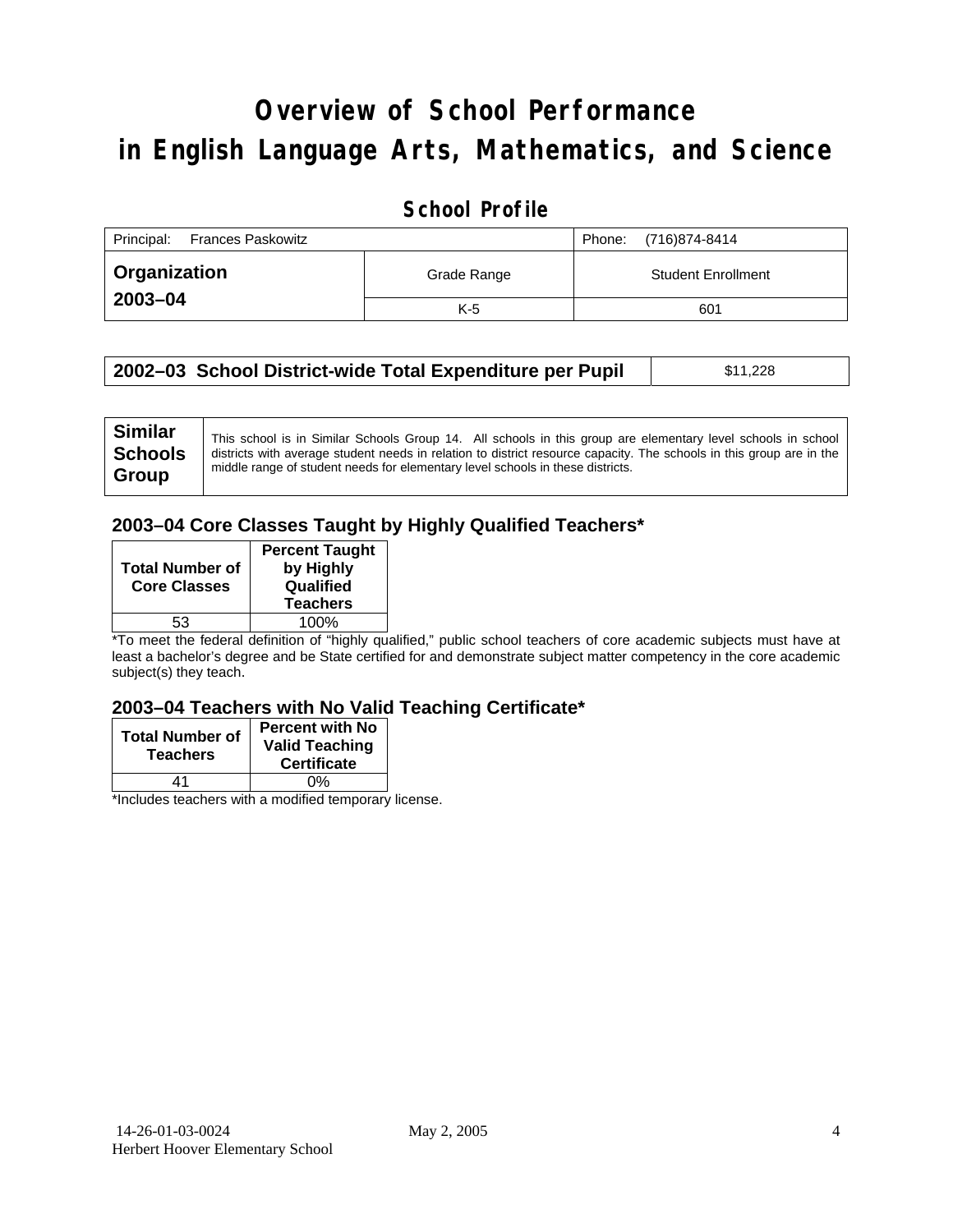# **Overview of School Performance in English Language Arts, Mathematics, and Science**

#### **School Profile**

| Principal:<br><b>Frances Paskowitz</b> |             | (716)874-8414<br>Phone:   |
|----------------------------------------|-------------|---------------------------|
| ∣ Organization                         | Grade Range | <b>Student Enrollment</b> |
| 2003-04                                | $K-5$       | 601                       |

| 2002-03 School District-wide Total Expenditure per Pupil | \$11,228 |
|----------------------------------------------------------|----------|
|----------------------------------------------------------|----------|

#### **2003–04 Core Classes Taught by Highly Qualified Teachers\***

| <b>Total Number of</b><br><b>Core Classes</b> | <b>Percent Taught</b><br>by Highly<br>Qualified<br><b>Teachers</b> |
|-----------------------------------------------|--------------------------------------------------------------------|
| 53                                            | 100%                                                               |

\*To meet the federal definition of "highly qualified," public school teachers of core academic subjects must have at least a bachelor's degree and be State certified for and demonstrate subject matter competency in the core academic subject(s) they teach.

#### **2003–04 Teachers with No Valid Teaching Certificate\***

| <b>Total Number of</b><br><b>Teachers</b> | <b>Percent with No</b><br><b>Valid Teaching</b><br><b>Certificate</b> |
|-------------------------------------------|-----------------------------------------------------------------------|
| 41                                        | 0%                                                                    |
|                                           |                                                                       |

\*Includes teachers with a modified temporary license.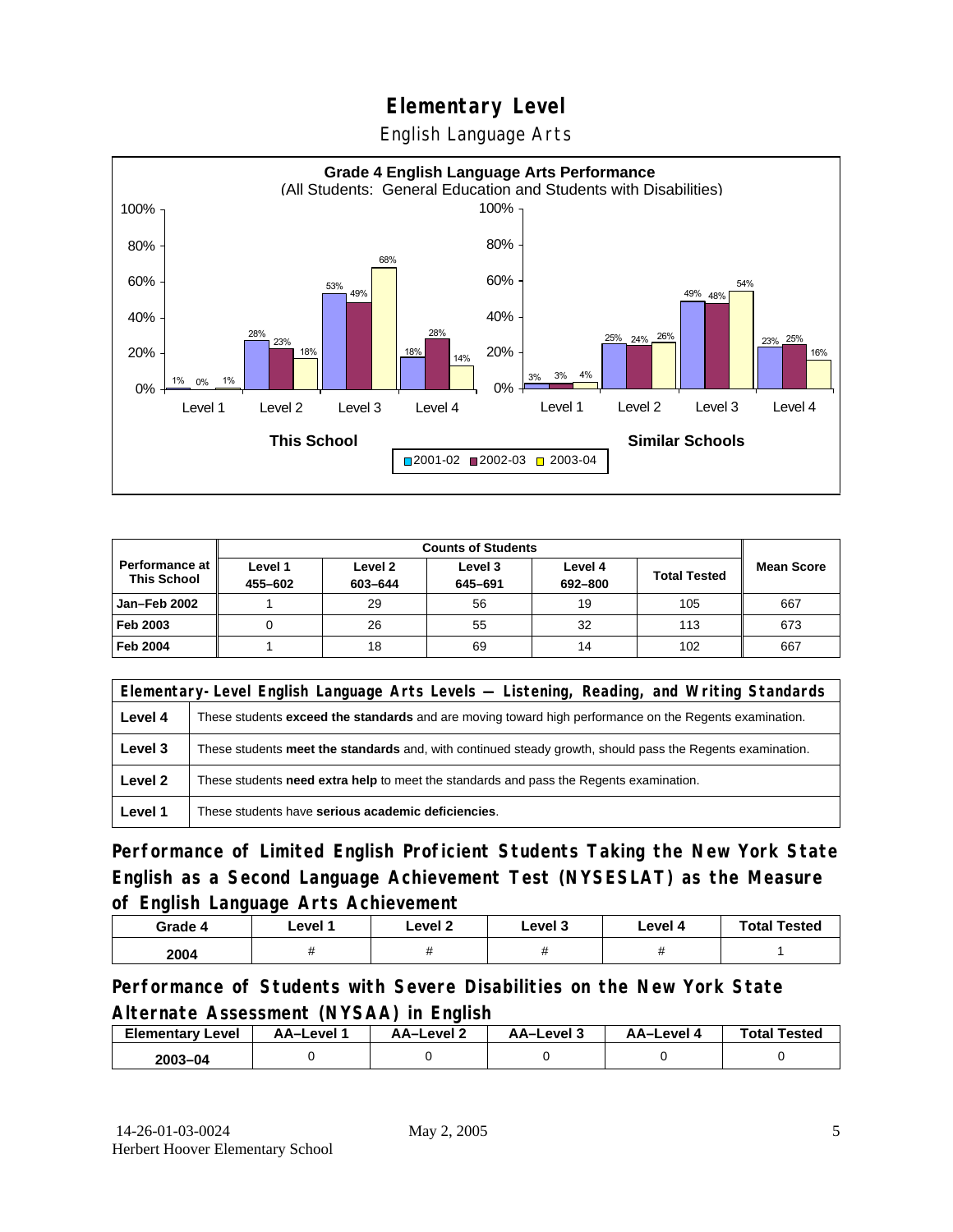English Language Arts



|                                             |                    | <b>Counts of Students</b> |                    |                    |                     |                   |
|---------------------------------------------|--------------------|---------------------------|--------------------|--------------------|---------------------|-------------------|
| <b>Performance at</b><br><b>This School</b> | Level 1<br>455-602 | Level 2<br>603-644        | Level 3<br>645-691 | Level 4<br>692-800 | <b>Total Tested</b> | <b>Mean Score</b> |
| Jan-Feb 2002                                |                    | 29                        | 56                 | 19                 | 105                 | 667               |
| Feb 2003                                    | U                  | 26                        | 55                 | 32                 | 113                 | 673               |
| <b>Feb 2004</b>                             |                    | 18                        | 69                 | 14                 | 102                 | 667               |

| Elementary-Level English Language Arts Levels — Listening, Reading, and Writing Standards |                                                                                                           |  |  |
|-------------------------------------------------------------------------------------------|-----------------------------------------------------------------------------------------------------------|--|--|
| Level 4                                                                                   | These students exceed the standards and are moving toward high performance on the Regents examination.    |  |  |
| Level 3                                                                                   | These students meet the standards and, with continued steady growth, should pass the Regents examination. |  |  |
| Level 2                                                                                   | These students <b>need extra help</b> to meet the standards and pass the Regents examination.             |  |  |
| Level 1                                                                                   | These students have serious academic deficiencies.                                                        |  |  |

**Performance of Limited English Proficient Students Taking the New York State English as a Second Language Achievement Test (NYSESLAT) as the Measure of English Language Arts Achievement**

| Grade 4 | Level 1 | Level 2 | Level 3 | Level 4 | <b>Total Tested</b> |
|---------|---------|---------|---------|---------|---------------------|
| 2004    |         |         |         |         |                     |

**Performance of Students with Severe Disabilities on the New York State Alternate Assessment (NYSAA) in English** 

| <b>Elementary Level</b> | AA-Level | <b>AA-Level 2</b> | AA-Level 3 | AA–Level 4 | <b>Total Tested</b> |
|-------------------------|----------|-------------------|------------|------------|---------------------|
| 2003-04                 |          |                   |            |            |                     |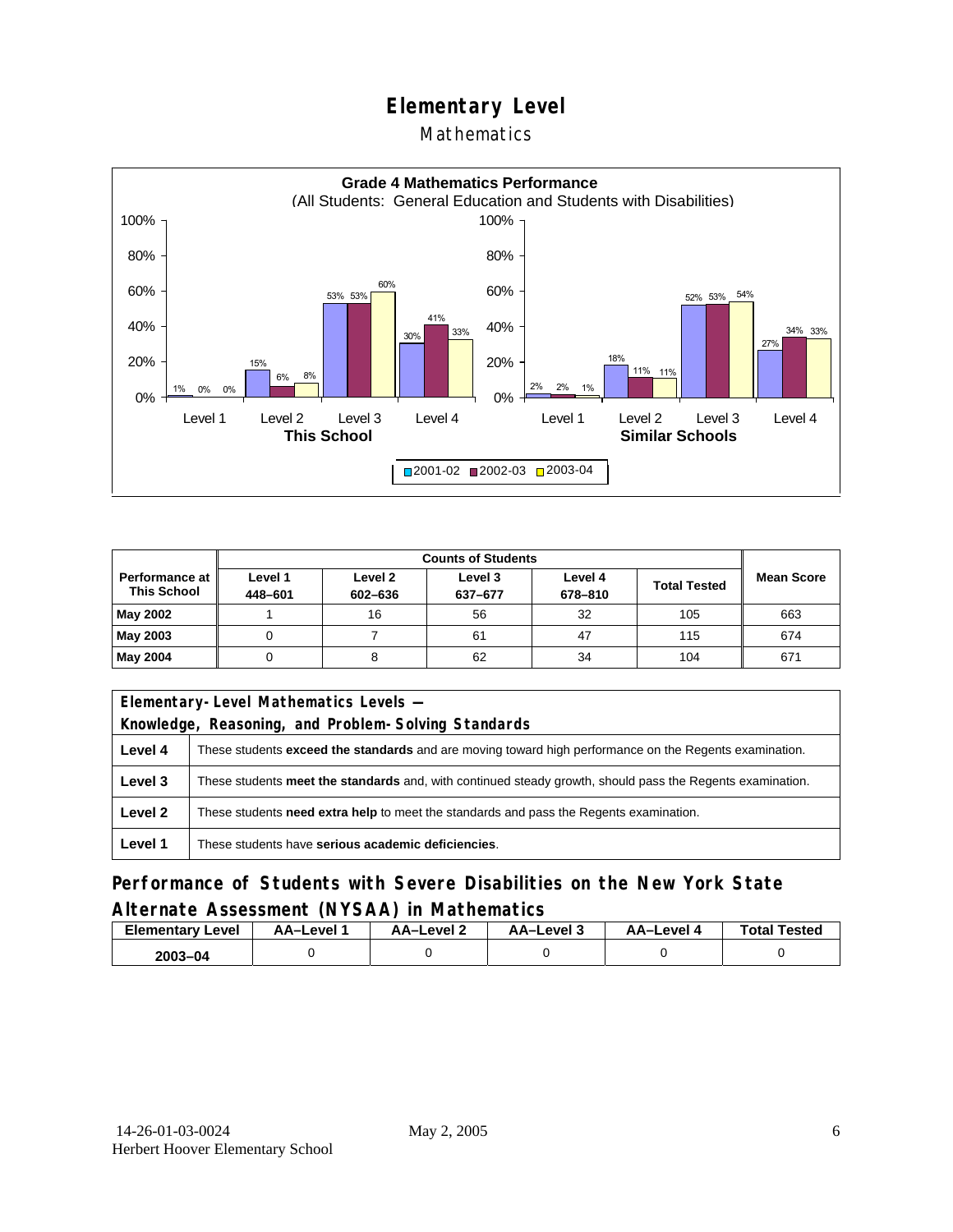#### Mathematics



|                                               |                    | <b>Counts of Students</b> |                    |                    |                     |                   |
|-----------------------------------------------|--------------------|---------------------------|--------------------|--------------------|---------------------|-------------------|
| <b>Performance at I</b><br><b>This School</b> | Level 1<br>448-601 | Level 2<br>602-636        | Level 3<br>637-677 | Level 4<br>678-810 | <b>Total Tested</b> | <b>Mean Score</b> |
| May 2002                                      |                    | 16                        | 56                 | 32                 | 105                 | 663               |
| May 2003                                      |                    |                           | 61                 | 47                 | 115                 | 674               |
| May 2004                                      |                    |                           | 62                 | 34                 | 104                 | 671               |

| Elementary-Level Mathematics Levels -                                                             |                                                                                                               |  |  |  |
|---------------------------------------------------------------------------------------------------|---------------------------------------------------------------------------------------------------------------|--|--|--|
|                                                                                                   | Knowledge, Reasoning, and Problem-Solving Standards                                                           |  |  |  |
| Level 4                                                                                           | These students <b>exceed the standards</b> and are moving toward high performance on the Regents examination. |  |  |  |
| Level 3                                                                                           | These students meet the standards and, with continued steady growth, should pass the Regents examination.     |  |  |  |
| Level 2<br>These students need extra help to meet the standards and pass the Regents examination. |                                                                                                               |  |  |  |
| Level 1                                                                                           | These students have serious academic deficiencies.                                                            |  |  |  |

#### **Performance of Students with Severe Disabilities on the New York State Alternate Assessment (NYSAA) in Mathematics**

| <b>Elementary</b><br>Level | AA-Level | AA-Level 2 | AA-Level 3 | AA-Level 4 | <b>Total Tested</b> |
|----------------------------|----------|------------|------------|------------|---------------------|
| $2003 - 04$                |          |            |            |            |                     |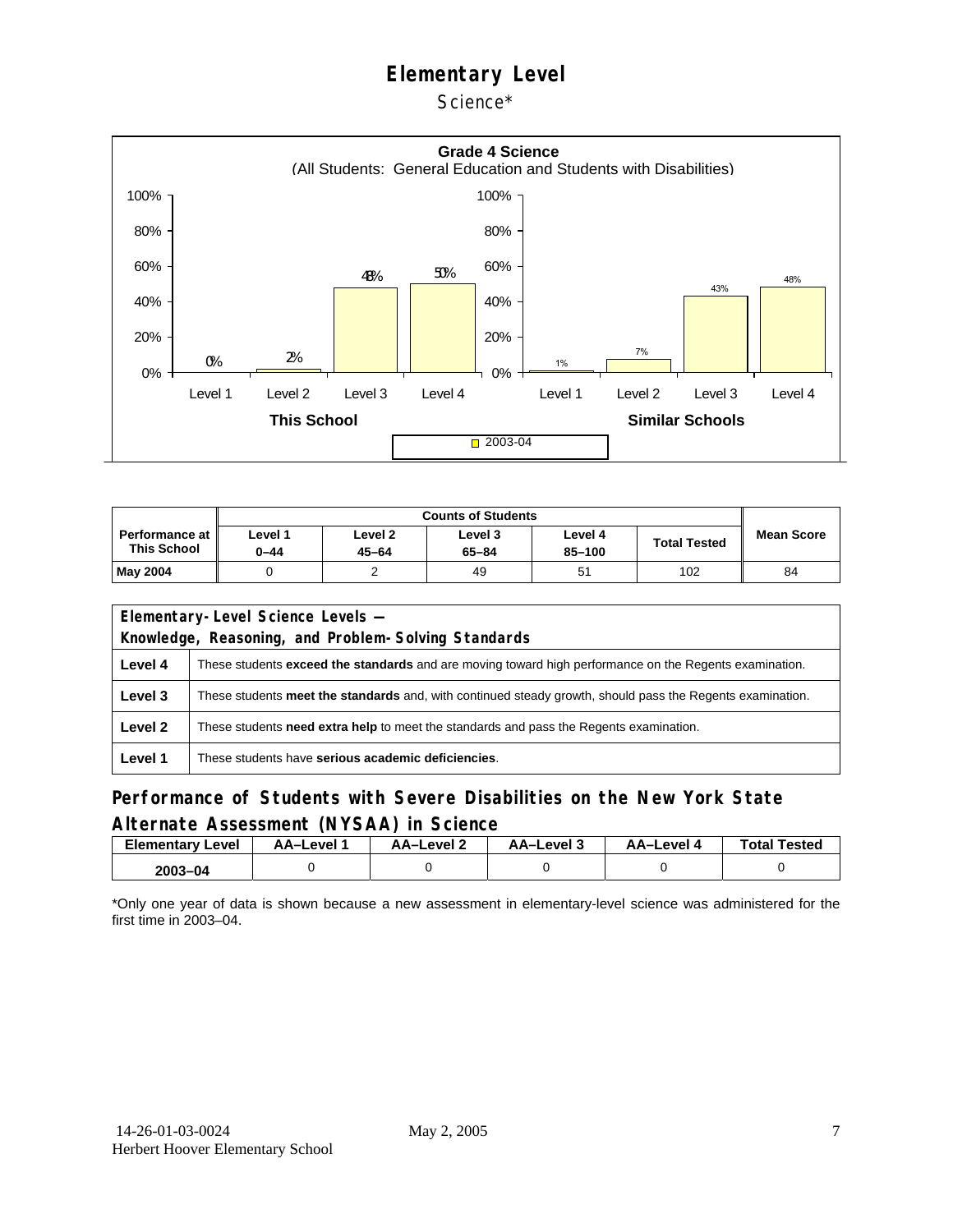Science\*



|                                             | <b>Counts of Students</b> |                      |                      |                   |                     |                   |  |  |
|---------------------------------------------|---------------------------|----------------------|----------------------|-------------------|---------------------|-------------------|--|--|
| <b>Performance at</b><br><b>This School</b> | evel 1-<br>$0 - 44$       | Level 2<br>$45 - 64$ | Level 3<br>$65 - 84$ | Level 4<br>85-100 | <b>Total Tested</b> | <b>Mean Score</b> |  |  |
| May 2004                                    |                           |                      | 49                   | 51                | 102                 | 84                |  |  |

| Elementary-Level Science Levels -                   |                                                                                                               |  |  |  |  |  |  |
|-----------------------------------------------------|---------------------------------------------------------------------------------------------------------------|--|--|--|--|--|--|
| Knowledge, Reasoning, and Problem-Solving Standards |                                                                                                               |  |  |  |  |  |  |
| Level 4                                             | These students <b>exceed the standards</b> and are moving toward high performance on the Regents examination. |  |  |  |  |  |  |
| Level 3                                             | These students meet the standards and, with continued steady growth, should pass the Regents examination.     |  |  |  |  |  |  |
| Level 2                                             | These students <b>need extra help</b> to meet the standards and pass the Regents examination.                 |  |  |  |  |  |  |
| Level 1                                             | These students have serious academic deficiencies.                                                            |  |  |  |  |  |  |

#### **Performance of Students with Severe Disabilities on the New York State Alternate Assessment (NYSAA) in Science**

| <b>Elementary Level</b> | <b>AA-Level</b> | AA–Level ∠ | د AA–Level | AA-Level 4 | <b>Total Tested</b> |
|-------------------------|-----------------|------------|------------|------------|---------------------|
| 2003-04                 |                 |            |            |            |                     |

\*Only one year of data is shown because a new assessment in elementary-level science was administered for the first time in 2003–04.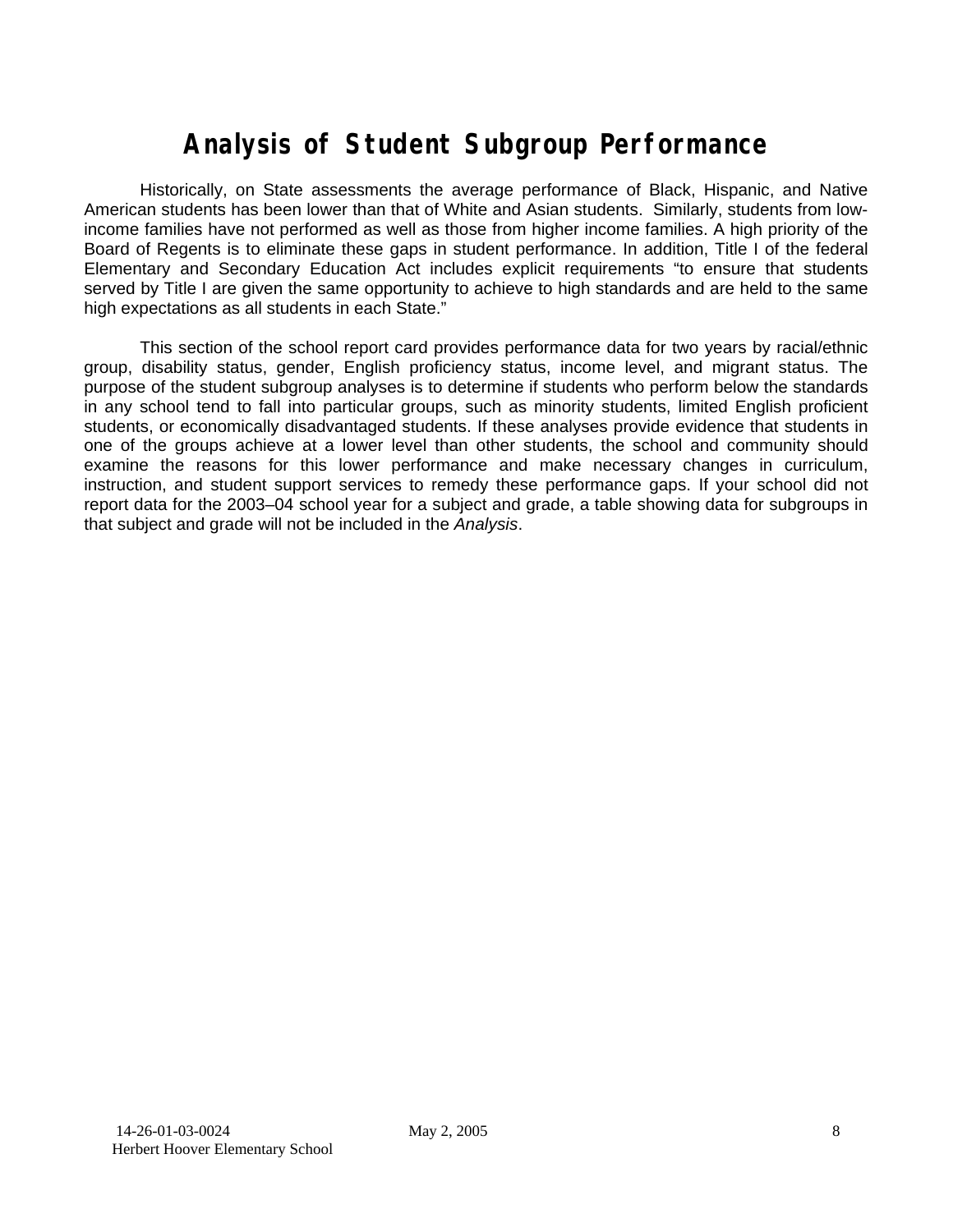## **Analysis of Student Subgroup Performance**

Historically, on State assessments the average performance of Black, Hispanic, and Native American students has been lower than that of White and Asian students. Similarly, students from lowincome families have not performed as well as those from higher income families. A high priority of the Board of Regents is to eliminate these gaps in student performance. In addition, Title I of the federal Elementary and Secondary Education Act includes explicit requirements "to ensure that students served by Title I are given the same opportunity to achieve to high standards and are held to the same high expectations as all students in each State."

This section of the school report card provides performance data for two years by racial/ethnic group, disability status, gender, English proficiency status, income level, and migrant status. The purpose of the student subgroup analyses is to determine if students who perform below the standards in any school tend to fall into particular groups, such as minority students, limited English proficient students, or economically disadvantaged students. If these analyses provide evidence that students in one of the groups achieve at a lower level than other students, the school and community should examine the reasons for this lower performance and make necessary changes in curriculum, instruction, and student support services to remedy these performance gaps. If your school did not report data for the 2003–04 school year for a subject and grade, a table showing data for subgroups in that subject and grade will not be included in the *Analysis*.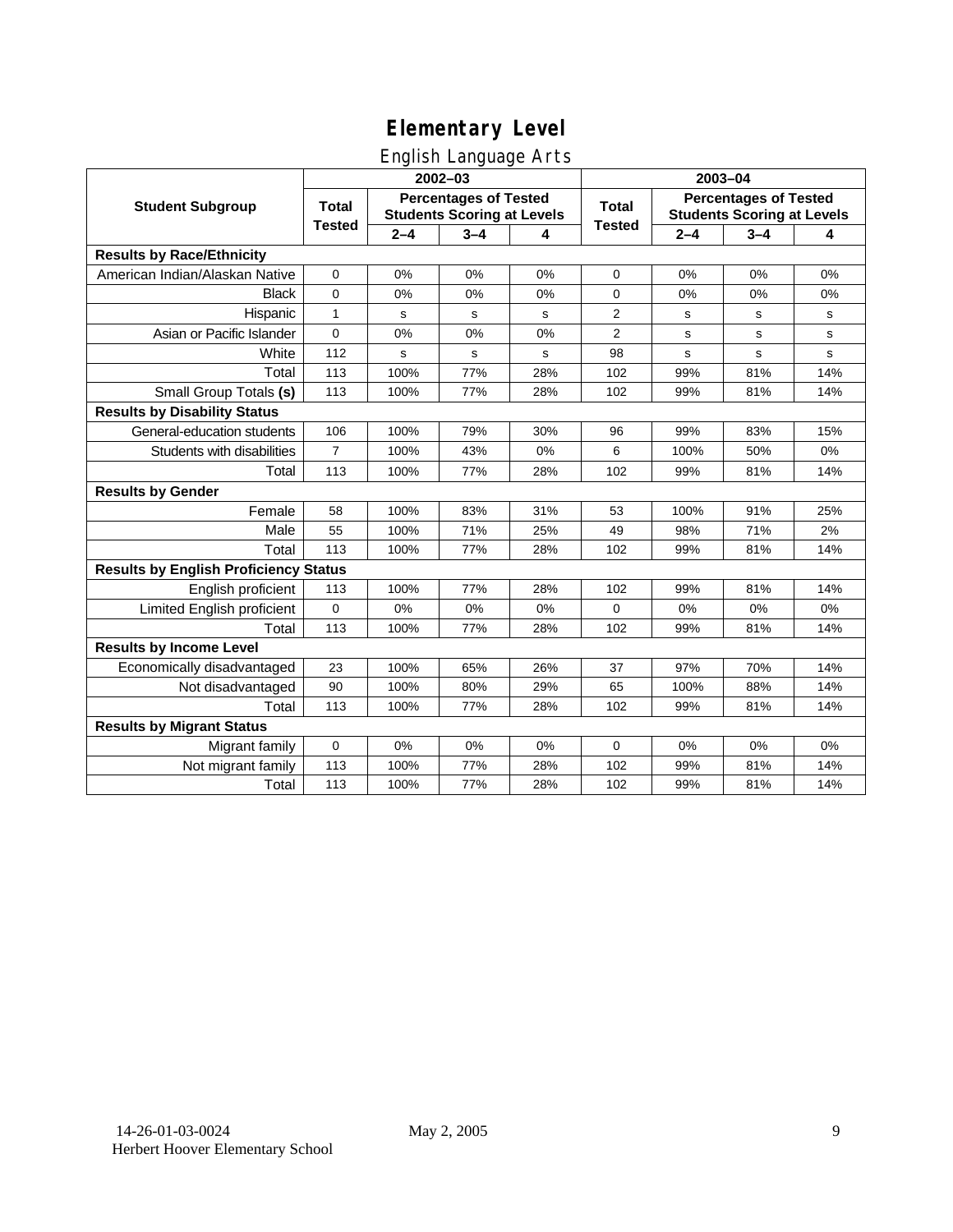### English Language Arts

|                                              |                                                                                   |         | ັ<br>2002-03 |       | 2003-04                                                           |             |         |       |
|----------------------------------------------|-----------------------------------------------------------------------------------|---------|--------------|-------|-------------------------------------------------------------------|-------------|---------|-------|
| <b>Student Subgroup</b>                      | <b>Percentages of Tested</b><br><b>Total</b><br><b>Students Scoring at Levels</b> |         |              | Total | <b>Percentages of Tested</b><br><b>Students Scoring at Levels</b> |             |         |       |
|                                              | <b>Tested</b>                                                                     | $2 - 4$ | $3 - 4$      | 4     | <b>Tested</b>                                                     | $2 - 4$     | $3 - 4$ | 4     |
| <b>Results by Race/Ethnicity</b>             |                                                                                   |         |              |       |                                                                   |             |         |       |
| American Indian/Alaskan Native               | $\pmb{0}$                                                                         | 0%      | 0%           | 0%    | $\mathbf 0$                                                       | 0%          | 0%      | 0%    |
| <b>Black</b>                                 | $\mathbf 0$                                                                       | 0%      | 0%           | 0%    | 0                                                                 | 0%          | 0%      | 0%    |
| Hispanic                                     | $\mathbf{1}$                                                                      | s       | $\mathbf s$  | S     | 2                                                                 | s           | s       | s     |
| Asian or Pacific Islander                    | $\pmb{0}$                                                                         | 0%      | 0%           | 0%    | 2                                                                 | s           | s       | s     |
| White                                        | 112                                                                               | s       | s            | s     | 98                                                                | $\mathbf s$ | s       | s     |
| Total                                        | 113                                                                               | 100%    | 77%          | 28%   | 102                                                               | 99%         | 81%     | 14%   |
| Small Group Totals (s)                       | 113                                                                               | 100%    | 77%          | 28%   | 102                                                               | 99%         | 81%     | 14%   |
| <b>Results by Disability Status</b>          |                                                                                   |         |              |       |                                                                   |             |         |       |
| General-education students                   | 106                                                                               | 100%    | 79%          | 30%   | 96                                                                | 99%         | 83%     | 15%   |
| Students with disabilities                   | $\overline{7}$                                                                    | 100%    | 43%          | 0%    | 6                                                                 | 100%        | 50%     | $0\%$ |
| Total                                        | 113                                                                               | 100%    | 77%          | 28%   | 102                                                               | 99%         | 81%     | 14%   |
| <b>Results by Gender</b>                     |                                                                                   |         |              |       |                                                                   |             |         |       |
| Female                                       | 58                                                                                | 100%    | 83%          | 31%   | 53                                                                | 100%        | 91%     | 25%   |
| Male                                         | 55                                                                                | 100%    | 71%          | 25%   | 49                                                                | 98%         | 71%     | 2%    |
| Total                                        | 113                                                                               | 100%    | 77%          | 28%   | 102                                                               | 99%         | 81%     | 14%   |
| <b>Results by English Proficiency Status</b> |                                                                                   |         |              |       |                                                                   |             |         |       |
| English proficient                           | 113                                                                               | 100%    | 77%          | 28%   | 102                                                               | 99%         | 81%     | 14%   |
| Limited English proficient                   | $\mathbf 0$                                                                       | 0%      | 0%           | 0%    | $\Omega$                                                          | 0%          | 0%      | 0%    |
| Total                                        | 113                                                                               | 100%    | 77%          | 28%   | 102                                                               | 99%         | 81%     | 14%   |
| <b>Results by Income Level</b>               |                                                                                   |         |              |       |                                                                   |             |         |       |
| Economically disadvantaged                   | 23                                                                                | 100%    | 65%          | 26%   | 37                                                                | 97%         | 70%     | 14%   |
| Not disadvantaged                            | 90                                                                                | 100%    | 80%          | 29%   | 65                                                                | 100%        | 88%     | 14%   |
| Total                                        | 113                                                                               | 100%    | 77%          | 28%   | 102                                                               | 99%         | 81%     | 14%   |
| <b>Results by Migrant Status</b>             |                                                                                   |         |              |       |                                                                   |             |         |       |
| Migrant family                               | $\pmb{0}$                                                                         | 0%      | 0%           | 0%    | $\mathbf 0$                                                       | 0%          | 0%      | 0%    |
| Not migrant family                           | 113                                                                               | 100%    | 77%          | 28%   | 102                                                               | 99%         | 81%     | 14%   |
| Total                                        | 113                                                                               | 100%    | 77%          | 28%   | 102                                                               | 99%         | 81%     | 14%   |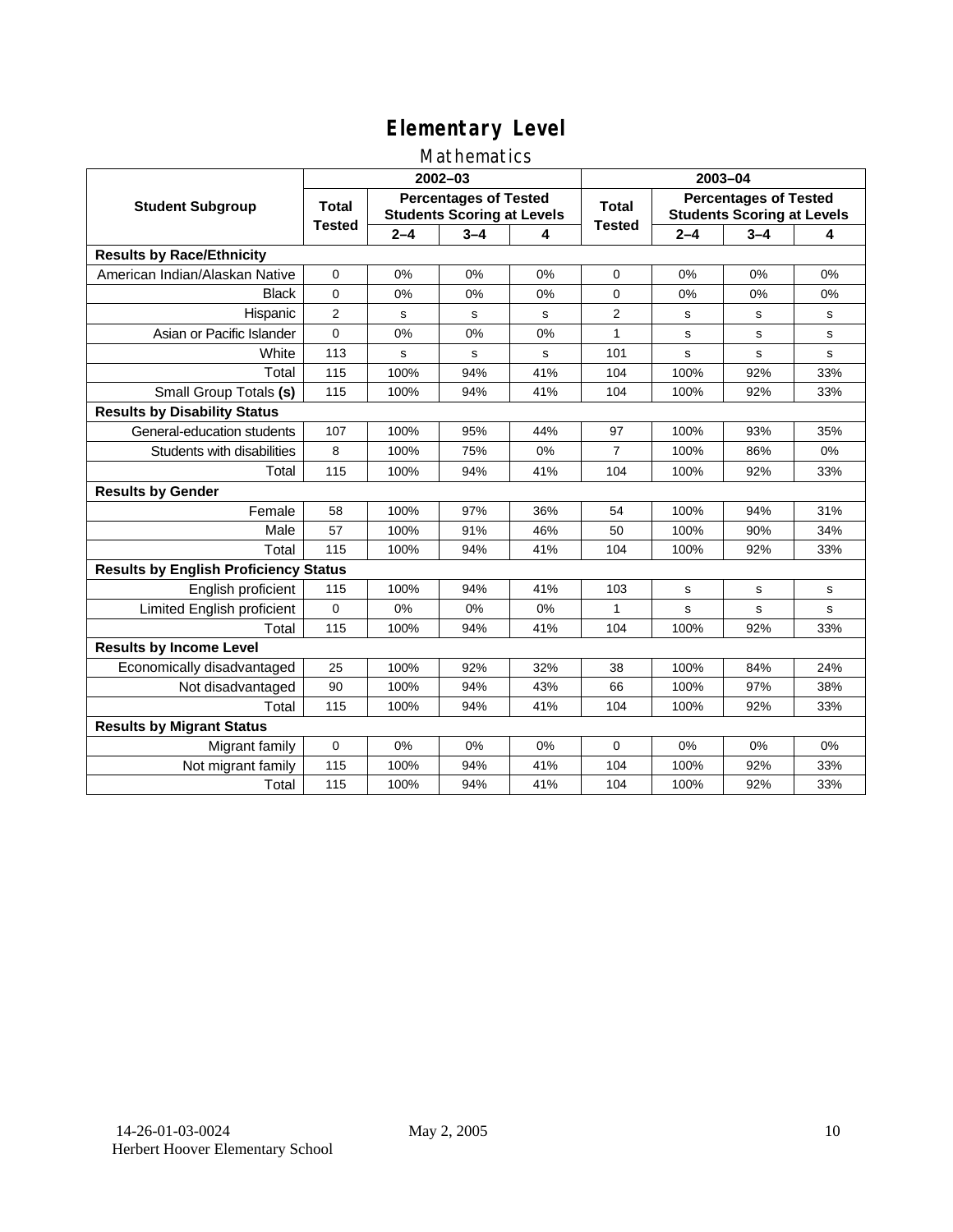#### Mathematics

|                                              |               |                                                                   | 2002-03     |     | 2003-04        |                                                                   |             |             |  |
|----------------------------------------------|---------------|-------------------------------------------------------------------|-------------|-----|----------------|-------------------------------------------------------------------|-------------|-------------|--|
| <b>Student Subgroup</b>                      | <b>Total</b>  | <b>Percentages of Tested</b><br><b>Students Scoring at Levels</b> |             |     | Total          | <b>Percentages of Tested</b><br><b>Students Scoring at Levels</b> |             |             |  |
|                                              | <b>Tested</b> | $2 - 4$                                                           | $3 - 4$     | 4   | <b>Tested</b>  | $2 - 4$                                                           | $3 - 4$     | 4           |  |
| <b>Results by Race/Ethnicity</b>             |               |                                                                   |             |     |                |                                                                   |             |             |  |
| American Indian/Alaskan Native               | $\mathbf 0$   | 0%                                                                | 0%          | 0%  | $\mathbf 0$    | 0%                                                                | 0%          | 0%          |  |
| <b>Black</b>                                 | $\mathbf 0$   | 0%                                                                | 0%          | 0%  | 0              | 0%                                                                | 0%          | 0%          |  |
| Hispanic                                     | 2             | s                                                                 | s           | s   | $\overline{2}$ | s                                                                 | s           | s           |  |
| Asian or Pacific Islander                    | 0             | 0%                                                                | 0%          | 0%  | $\mathbf{1}$   | s                                                                 | s           | $\mathbf s$ |  |
| White                                        | 113           | s                                                                 | $\mathbf s$ | s   | 101            | $\mathbf s$                                                       | $\mathbf s$ | $\mathbf s$ |  |
| Total                                        | 115           | 100%                                                              | 94%         | 41% | 104            | 100%                                                              | 92%         | 33%         |  |
| Small Group Totals (s)                       | 115           | 100%                                                              | 94%         | 41% | 104            | 100%                                                              | 92%         | 33%         |  |
| <b>Results by Disability Status</b>          |               |                                                                   |             |     |                |                                                                   |             |             |  |
| General-education students                   | 107           | 100%                                                              | 95%         | 44% | 97             | 100%                                                              | 93%         | 35%         |  |
| Students with disabilities                   | 8             | 100%                                                              | 75%         | 0%  | $\overline{7}$ | 100%                                                              | 86%         | 0%          |  |
| Total                                        | 115           | 100%                                                              | 94%         | 41% | 104            | 100%                                                              | 92%         | 33%         |  |
| <b>Results by Gender</b>                     |               |                                                                   |             |     |                |                                                                   |             |             |  |
| Female                                       | 58            | 100%                                                              | 97%         | 36% | 54             | 100%                                                              | 94%         | 31%         |  |
| Male                                         | 57            | 100%                                                              | 91%         | 46% | 50             | 100%                                                              | 90%         | 34%         |  |
| Total                                        | 115           | 100%                                                              | 94%         | 41% | 104            | 100%                                                              | 92%         | 33%         |  |
| <b>Results by English Proficiency Status</b> |               |                                                                   |             |     |                |                                                                   |             |             |  |
| English proficient                           | 115           | 100%                                                              | 94%         | 41% | 103            | $\mathbf s$                                                       | $\mathbf s$ | s           |  |
| Limited English proficient                   | $\mathbf 0$   | 0%                                                                | 0%          | 0%  | 1              | s                                                                 | s           | s           |  |
| Total                                        | 115           | 100%                                                              | 94%         | 41% | 104            | 100%                                                              | 92%         | 33%         |  |
| <b>Results by Income Level</b>               |               |                                                                   |             |     |                |                                                                   |             |             |  |
| Economically disadvantaged                   | 25            | 100%                                                              | 92%         | 32% | 38             | 100%                                                              | 84%         | 24%         |  |
| Not disadvantaged                            | 90            | 100%                                                              | 94%         | 43% | 66             | 100%                                                              | 97%         | 38%         |  |
| Total                                        | 115           | 100%                                                              | 94%         | 41% | 104            | 100%                                                              | 92%         | 33%         |  |
| <b>Results by Migrant Status</b>             |               |                                                                   |             |     |                |                                                                   |             |             |  |
| Migrant family                               | $\mathbf 0$   | 0%                                                                | 0%          | 0%  | $\Omega$       | 0%                                                                | 0%          | 0%          |  |
| Not migrant family                           | 115           | 100%                                                              | 94%         | 41% | 104            | 100%                                                              | 92%         | 33%         |  |
| Total                                        | 115           | 100%                                                              | 94%         | 41% | 104            | 100%                                                              | 92%         | 33%         |  |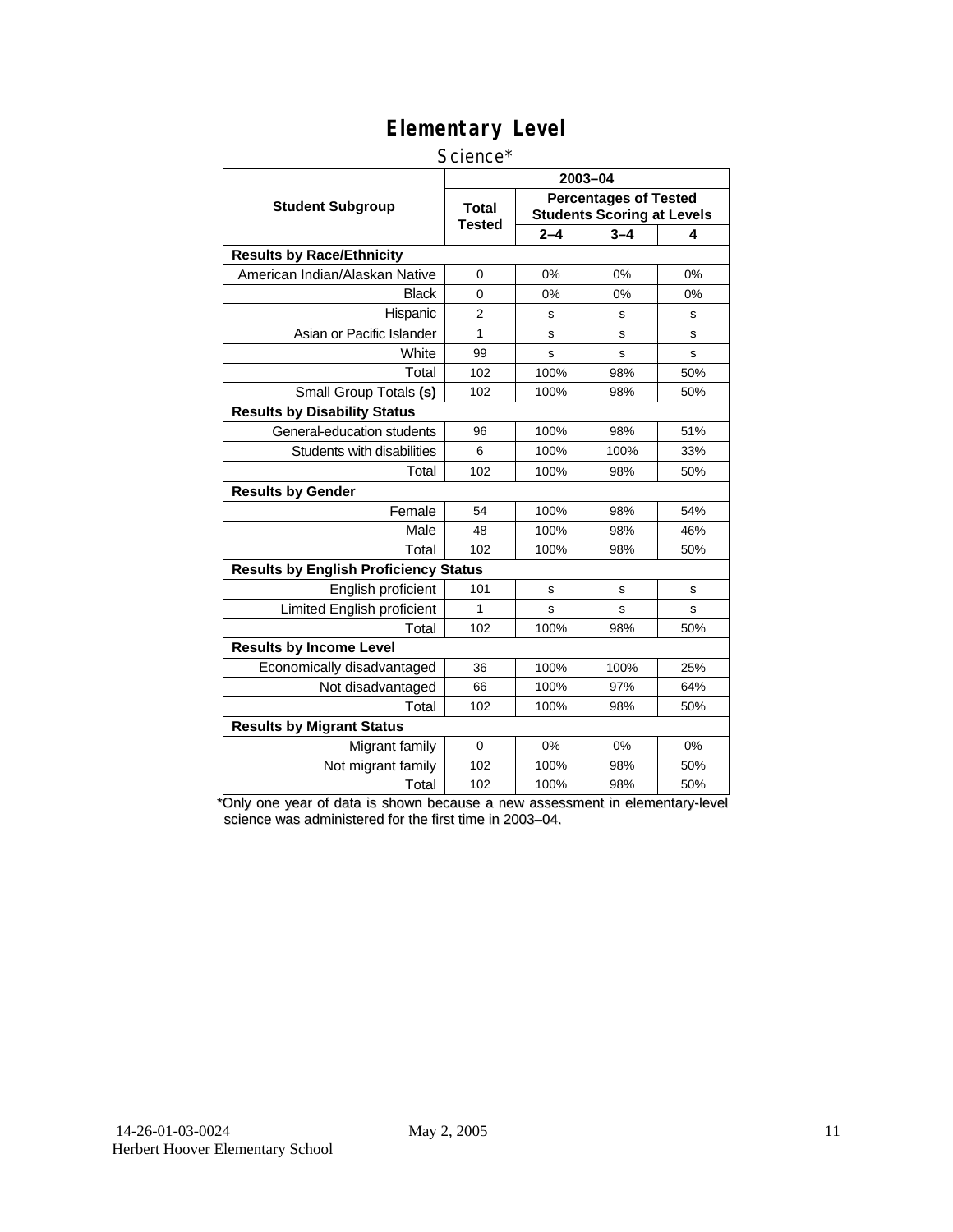#### Science\*

|                                              | 2003-04                |                                                                   |         |     |  |  |  |
|----------------------------------------------|------------------------|-------------------------------------------------------------------|---------|-----|--|--|--|
| <b>Student Subgroup</b>                      | <b>Total</b><br>Tested | <b>Percentages of Tested</b><br><b>Students Scoring at Levels</b> |         |     |  |  |  |
|                                              |                        | $2 - 4$                                                           | $3 - 4$ | 4   |  |  |  |
| <b>Results by Race/Ethnicity</b>             |                        |                                                                   |         |     |  |  |  |
| American Indian/Alaskan Native               | $\Omega$               | 0%                                                                | 0%      | 0%  |  |  |  |
| Black                                        | 0                      | 0%                                                                | 0%      | 0%  |  |  |  |
| Hispanic                                     | $\overline{2}$         | s                                                                 | s       | s   |  |  |  |
| Asian or Pacific Islander                    | 1                      | s                                                                 | s       | S   |  |  |  |
| White                                        | 99                     | s                                                                 | s       | s   |  |  |  |
| Total                                        | 102                    | 100%                                                              | 98%     | 50% |  |  |  |
| Small Group Totals (s)                       | 102                    | 100%                                                              | 98%     | 50% |  |  |  |
| <b>Results by Disability Status</b>          |                        |                                                                   |         |     |  |  |  |
| General-education students                   | 96                     | 100%                                                              | 98%     | 51% |  |  |  |
| Students with disabilities                   | 6                      | 100%                                                              | 100%    | 33% |  |  |  |
| Total                                        | 102                    | 100%                                                              | 98%     | 50% |  |  |  |
| <b>Results by Gender</b>                     |                        |                                                                   |         |     |  |  |  |
| Female                                       | 54                     | 100%                                                              | 98%     | 54% |  |  |  |
| Male                                         | 48                     | 100%                                                              | 98%     | 46% |  |  |  |
| Total                                        | 102                    | 100%                                                              | 98%     | 50% |  |  |  |
| <b>Results by English Proficiency Status</b> |                        |                                                                   |         |     |  |  |  |
| English proficient                           | 101                    | s                                                                 | s       | s   |  |  |  |
| Limited English proficient                   | 1                      | S                                                                 | s       | s   |  |  |  |
| Total                                        | 102                    | 100%                                                              | 98%     | 50% |  |  |  |
| <b>Results by Income Level</b>               |                        |                                                                   |         |     |  |  |  |
| Economically disadvantaged                   | 36                     | 100%                                                              | 100%    | 25% |  |  |  |
| Not disadvantaged                            | 66                     | 100%                                                              | 97%     | 64% |  |  |  |
| Total                                        | 102                    | 100%                                                              | 98%     | 50% |  |  |  |
| <b>Results by Migrant Status</b>             |                        |                                                                   |         |     |  |  |  |
| Migrant family                               | $\Omega$               | 0%                                                                | 0%      | 0%  |  |  |  |
| Not migrant family                           | 102                    | 100%                                                              | 98%     | 50% |  |  |  |
| Total                                        | 102                    | 100%                                                              | 98%     | 50% |  |  |  |

\*Only one year of data is shown because a new assessment in elementary-level science was administered for the first time in 2003–04.